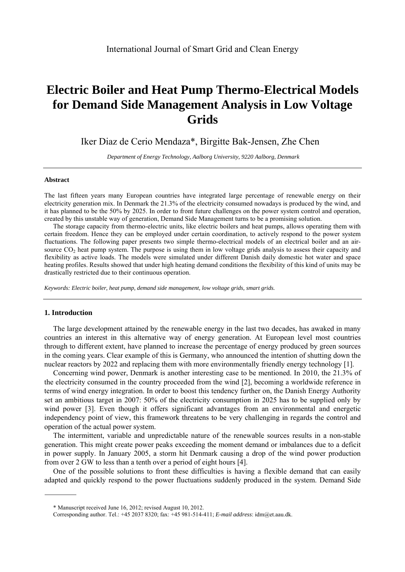# **Electric Boiler and Heat Pump Thermo-Electrical Models for Demand Side Management Analysis in Low Voltage Grids**

Iker Diaz de Cerio Mendaza\*, Birgitte Bak-Jensen, Zhe Chen <sup>a</sup>

 *Department of Energy Technology, Aalborg University, 9220 Aalborg, Denmark* 

## **Abstract**

The last fifteen years many European countries have integrated large percentage of renewable energy on their electricity generation mix. In Denmark the 21.3% of the electricity consumed nowadays is produced by the wind, and it has planned to be the 50% by 2025. In order to front future challenges on the power system control and operation, created by this unstable way of generation, Demand Side Management turns to be a promising solution.

The storage capacity from thermo-electric units, like electric boilers and heat pumps, allows operating them with certain freedom. Hence they can be employed under certain coordination, to actively respond to the power system fluctuations. The following paper presents two simple thermo-electrical models of an electrical boiler and an airsource  $CO<sub>2</sub>$  heat pump system. The purpose is using them in low voltage grids analysis to assess their capacity and flexibility as active loads. The models were simulated under different Danish daily domestic hot water and space heating profiles. Results showed that under high heating demand conditions the flexibility of this kind of units may be drastically restricted due to their continuous operation.

*Keywords: Electric boiler, heat pump, demand side management, low voltage grids, smart grids.*

# **1. Introduction**

The large development attained by the renewable energy in the last two decades, has awaked in many countries an interest in this alternative way of energy generation. At European level most countries through to different extent, have planned to increase the percentage of energy produced by green sources in the coming years. Clear example of this is Germany, who announced the intention of shutting down the nuclear reactors by 2022 and replacing them with more environmentally friendly energy technology [1].

Concerning wind power, Denmark is another interesting case to be mentioned. In 2010, the 21.3% of the electricity consumed in the country proceeded from the wind [2], becoming a worldwide reference in terms of wind energy integration. In order to boost this tendency further on, the Danish Energy Authority set an ambitious target in 2007: 50% of the electricity consumption in 2025 has to be supplied only by wind power [3]. Even though it offers significant advantages from an environmental and energetic independency point of view, this framework threatens to be very challenging in regards the control and operation of the actual power system.

The intermittent, variable and unpredictable nature of the renewable sources results in a non-stable generation. This might create power peaks exceeding the moment demand or imbalances due to a deficit in power supply. In January 2005, a storm hit Denmark causing a drop of the wind power production from over 2 GW to less than a tenth over a period of eight hours [4].

One of the possible solutions to front these difficulties is having a flexible demand that can easily adapted and quickly respond to the power fluctuations suddenly produced in the system. Demand Side

<sup>\*</sup> Manuscript received June 16, 2012; revised August 10, 2012.

Corresponding author. Tel.: +45 2037 8320; fax: +45 981-514-411; *E-mail address*: idm@et.aau.dk.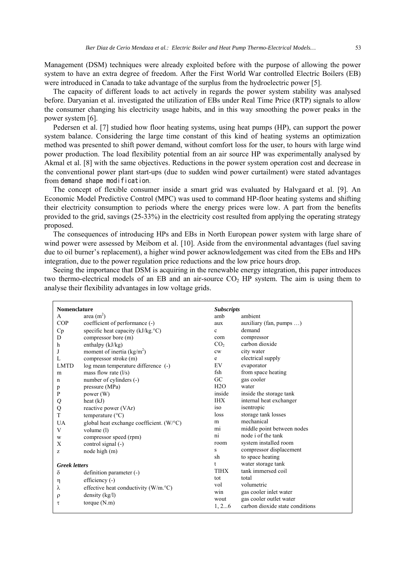Management (DSM) techniques were already exploited before with the purpose of allowing the power system to have an extra degree of freedom. After the First World War controlled Electric Boilers (EB) were introduced in Canada to take advantage of the surplus from the hydroelectric power [5].

The capacity of different loads to act actively in regards the power system stability was analysed before. Daryanian et al. investigated the utilization of EBs under Real Time Price (RTP) signals to allow the consumer changing his electricity usage habits, and in this way smoothing the power peaks in the power system [6].

Pedersen et al. [7] studied how floor heating systems, using heat pumps (HP), can support the power system balance. Considering the large time constant of this kind of heating systems an optimization method was presented to shift power demand, without comfort loss for the user, to hours with large wind power production. The load flexibility potential from an air source HP was experimentally analysed by Akmal et al. [8] with the same objectives. Reductions in the power system operation cost and decrease in the conventional power plant start-ups (due to sudden wind power curtailment) were stated advantages from demand shape modification.

The concept of flexible consumer inside a smart grid was evaluated by Halvgaard et al. [9]. An Economic Model Predictive Control (MPC) was used to command HP-floor heating systems and shifting their electricity consumption to periods where the energy prices were low. A part from the benefits provided to the grid, savings (25-33%) in the electricity cost resulted from applying the operating strategy proposed.

The consequences of introducing HPs and EBs in North European power system with large share of wind power were assessed by Meibom et al. [10]. Aside from the environmental advantages (fuel saving due to oil burner's replacement), a higher wind power acknowledgement was cited from the EBs and HPs integration, due to the power regulation price reductions and the low price hours drop.

Seeing the importance that DSM is acquiring in the renewable energy integration, this paper introduces two thermo-electrical models of an EB and an air-source  $CO<sub>2</sub>$  HP system. The aim is using them to analyse their flexibility advantages in low voltage grids.

| <b>Subscripts</b><br><b>Nomenclature</b> |                                                  |                 |                                 |
|------------------------------------------|--------------------------------------------------|-----------------|---------------------------------|
| A                                        | area $(m2)$                                      | amb             | ambient                         |
| COP                                      | coefficient of performance (-)                   | aux             | auxiliary (fan, pumps )         |
| Cp                                       | specific heat capacity (kJ/kg.°C)                | $\mathbf c$     | demand                          |
| D                                        | compressor bore (m)                              | com             | compressor                      |
| h                                        | enthalpy (kJ/kg)                                 | CO <sub>2</sub> | carbon dioxide                  |
| J                                        | moment of inertia $(kg/m2)$                      | cw              | city water                      |
| L                                        | compressor stroke (m)                            | e               | electrical supply               |
| <b>LMTD</b>                              | log mean temperature difference (-)              | EV              | evaporator                      |
| m                                        | mass flow rate $(l/s)$                           | fsh             | from space heating              |
| n                                        | number of cylinders (-)                          | GC              | gas cooler                      |
| p                                        | pressure (MPa)                                   | H2O             | water                           |
| P                                        | power $(W)$                                      | inside          | inside the storage tank         |
| Q                                        | heat $(kJ)$                                      | <b>IHX</b>      | internal heat exchanger         |
| Q                                        | reactive power (VAr)                             | iso             | isentropic                      |
| T                                        | temperature $(^{\circ}C)$                        | loss            | storage tank losses             |
| UA                                       | global heat exchange coefficient. $(W^{\circ}C)$ | m               | mechanical                      |
| V                                        | volume (1)                                       | mi              | middle point between nodes      |
| W                                        | compressor speed (rpm)                           | ni              | node i of the tank              |
| Χ                                        | control signal (-)                               | room            | system installed room           |
| z                                        | node high $(m)$                                  | S               | compressor displacement         |
|                                          |                                                  | sh              | to space heating                |
| <b>Greek</b> letters                     |                                                  | t               | water storage tank              |
| δ                                        | definition parameter (-)                         | TIHX            | tank immersed coil              |
| η                                        | efficiency $(-)$                                 | tot             | total                           |
| λ                                        | effective heat conductivity (W/m.°C)             | vol             | volumetric                      |
| ρ                                        | density $(kg/l)$                                 | win             | gas cooler inlet water          |
| τ                                        | torque $(N.m)$                                   | wout            | gas cooler outlet water         |
|                                          |                                                  | 1, 26           | carbon dioxide state conditions |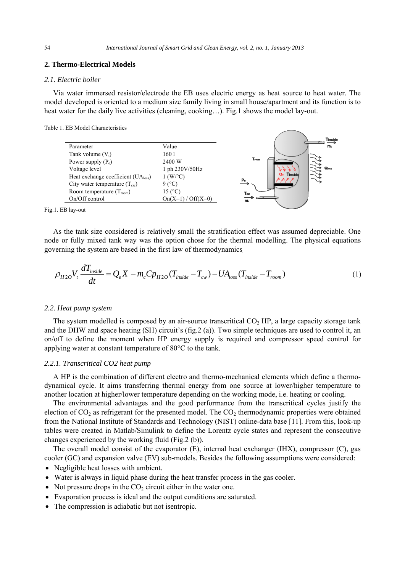## **2. Thermo-Electrical Models**

# *2.1. Electric boiler*

Via water immersed resistor/electrode the EB uses electric energy as heat source to heat water. The model developed is oriented to a medium size family living in small house/apartment and its function is to heat water for the daily live activities (cleaning, cooking...). Fig.1 shows the model lay-out.

Table 1. EB Model Characteristics



Fig.1. EB lay-out

As the tank size considered is relatively small the stratification effect was assumed depreciable. One node or fully mixed tank way was the option chose for the thermal modelling. The physical equations governing the system are based in the first law of thermodynamics.

$$
\rho_{H2O} V_t \frac{dT_{inside}}{dt} = Q_e X - m_c C p_{H2O} (T_{inside} - T_{cw}) - UA_{loss} (T_{inside} - T_{room})
$$
\n(1)

## *2.2. Heat pump system*

The system modelled is composed by an air-source transcritical  $CO<sub>2</sub>$  HP, a large capacity storage tank and the DHW and space heating (SH) circuit's (fig.2 (a)). Two simple techniques are used to control it, an on/off to define the moment when HP energy supply is required and compressor speed control for applying water at constant temperature of 80°C to the tank.

# *2.2.1. Transcritical CO2 heat pump*

A HP is the combination of different electro and thermo-mechanical elements which define a thermodynamical cycle. It aims transferring thermal energy from one source at lower/higher temperature to another location at higher/lower temperature depending on the working mode, i.e. heating or cooling.

The environmental advantages and the good performance from the transcritical cycles justify the election of  $CO<sub>2</sub>$  as refrigerant for the presented model. The  $CO<sub>2</sub>$  thermodynamic properties were obtained from the National Institute of Standards and Technology (NIST) online-data base [11]. From this, look-up tables were created in Matlab/Simulink to define the Lorentz cycle states and represent the consecutive changes experienced by the working fluid (Fig.2 (b)).

The overall model consist of the evaporator (E), internal heat exchanger (IHX), compressor (C), gas cooler (GC) and expansion valve (EV) sub-models. Besides the following assumptions were considered:

- Negligible heat losses with ambient.
- Water is always in liquid phase during the heat transfer process in the gas cooler.
- Not pressure drops in the  $CO<sub>2</sub>$  circuit either in the water one.
- Evaporation process is ideal and the output conditions are saturated.
- The compression is adiabatic but not isentropic.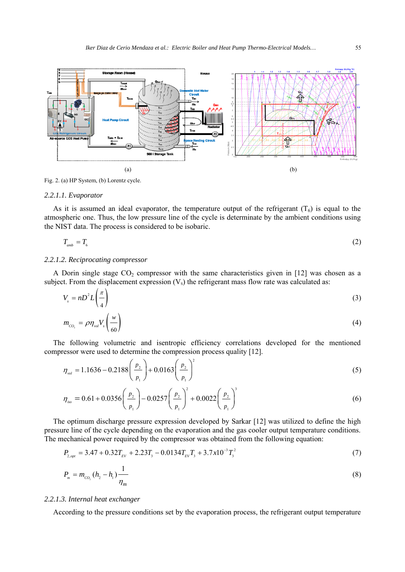

Fig. 2. (a) HP System, (b) Lorentz cycle.

#### *2.2.1.1. Evaporator*

As it is assumed an ideal evaporator, the temperature output of the refrigerant  $(T_6)$  is equal to the atmospheric one. Thus, the low pressure line of the cycle is determinate by the ambient conditions using the NIST data. The process is considered to be isobaric.

$$
T_{\text{amb}} = T_{6} \tag{2}
$$

# *2.2.1.2. Reciprocating compressor*

A Dorin single stage  $CO_2$  compressor with the same characteristics given in [12] was chosen as a subject. From the displacement expression  $(V<sub>s</sub>)$  the refrigerant mass flow rate was calculated as:

$$
V_s = nD^2 L \left(\frac{\pi}{4}\right) \tag{3}
$$

$$
m_{co_{2}} = \rho \eta_{vol} V_{s} \left(\frac{w}{60}\right) \tag{4}
$$

The following volumetric and isentropic efficiency correlations developed for the mentioned compressor were used to determine the compression process quality [12].

$$
\eta_{\text{vol}} = 1.1636 - 0.2188 \left( \frac{p_2}{p_1} \right) + 0.0163 \left( \frac{p_2}{p_1} \right)^2 \tag{5}
$$

$$
\eta_{\text{iso}} = 0.61 + 0.0356 \left(\frac{p_2}{p_1}\right) - 0.0257 \left(\frac{p_2}{p_1}\right)^2 + 0.0022 \left(\frac{p_2}{p_1}\right)^3 \tag{6}
$$

The optimum discharge pressure expression developed by Sarkar [12] was utilized to define the high pressure line of the cycle depending on the evaporation and the gas cooler output temperature conditions. The mechanical power required by the compressor was obtained from the following equation:

$$
P_{2,\text{opt}} = 3.47 + 0.32T_{\text{EV}} + 2.23T_3 - 0.0134T_{\text{EV}}T_3 + 3.7x10^{-3}T_3^2\tag{7}
$$

$$
P_m = m_{co_2}(h_2 - h_1) \frac{1}{\eta_m} \tag{8}
$$

#### *2.2.1.3. Internal heat exchanger*

According to the pressure conditions set by the evaporation process, the refrigerant output temperature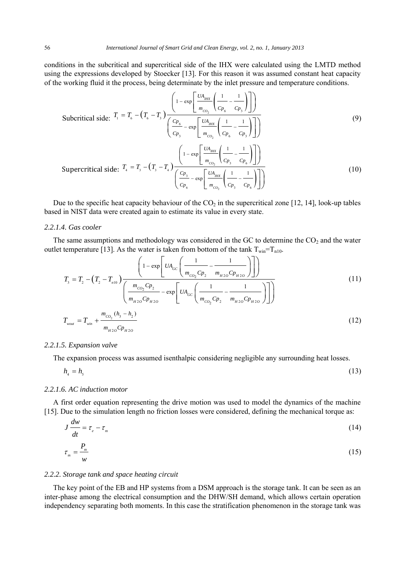conditions in the subcritical and supercritical side of the IHX were calculated using the LMTD method using the expressions developed by Stoecker [13]. For this reason it was assumed constant heat capacity of the working fluid it the process, being determinate by the inlet pressure and temperature conditions.

Subcritical side: 
$$
T_1 = T_6 - (T_6 - T_3) \frac{\left(1 - \exp\left[\frac{UA_{HK}}{m_{CO_2}}\left(\frac{1}{C_{P_6}} - \frac{1}{C_{P_3}}\right)\right]\right)}{\left(\frac{C_{P_6}}{C_{P_3}} - \exp\left[\frac{UA_{HIX}}{m_{CO_2}}\left(\frac{1}{C_{P_6}} - \frac{1}{C_{P_3}}\right)\right]\right)}
$$
 (9)  
\nSupercritical side:  $T_4 = T_3 - (T_3 - T_4) \frac{\left(1 - \exp\left[\frac{UA_{HIX}}{m_{CO_2}}\left(\frac{1}{C_{P_3}} - \frac{1}{C_{P_6}}\right)\right]\right)}{\left(\frac{C_{P_3}}{C_{P_6}} - \exp\left[\frac{UA_{HIX}}{m_{CO_2}}\left(\frac{1}{C_{P_3}} - \frac{1}{C_{P_6}}\right)\right]\right)}$  (10)

Due to the specific heat capacity behaviour of the  $CO<sub>2</sub>$  in the supercritical zone [12, 14], look-up tables based in NIST data were created again to estimate its value in every state.

# *2.2.1.4. Gas cooler*

The same assumptions and methodology was considered in the GC to determine the  $CO<sub>2</sub>$  and the water outlet temperature [13]. As the water is taken from bottom of the tank  $T_{win} = T_{n10}$ .

$$
T_{3} = T_{2} - (T_{2} - T_{n10}) \frac{\left(1 - \exp\left[UA_{GC}\left(\frac{1}{m_{CO_{2}}Cp_{2}} - \frac{1}{m_{H2O}Cp_{H2O}}\right)\right]\right)}{\left(\frac{m_{CO_{2}}Cp_{2}}{m_{H2O}Cp_{H2O}} - \exp\left[UA_{GC}\left(\frac{1}{m_{CO_{2}}Cp_{2}} - \frac{1}{m_{H2O}Cp_{H2O}}\right)\right]\right)}
$$
(11)  

$$
T_{wout} = T_{win} + \frac{m_{CO_{2}}(h_{3} - h_{2})}{m_{H2O}Cp_{H2O}}
$$
(12)

# *2.2.1.5. Expansion valve*

The expansion process was assumed isenthalpic considering negligible any surrounding heat losses.

$$
h_4 = h_5 \tag{13}
$$

# *2.2.1.6. AC induction motor*

*w*

*m*

A first order equation representing the drive motion was used to model the dynamics of the machine [15]. Due to the simulation length no friction losses were considered, defining the mechanical torque as:

$$
J\frac{dw}{dt} = \tau_e - \tau_m \tag{14}
$$
\n
$$
\tau_m = \frac{P_m}{m}
$$
\n
$$
\tag{15}
$$

# *2.2.2. Storage tank and space heating circuit*

The key point of the EB and HP systems from a DSM approach is the storage tank. It can be seen as an inter-phase among the electrical consumption and the DHW/SH demand, which allows certain operation independency separating both moments. In this case the stratification phenomenon in the storage tank was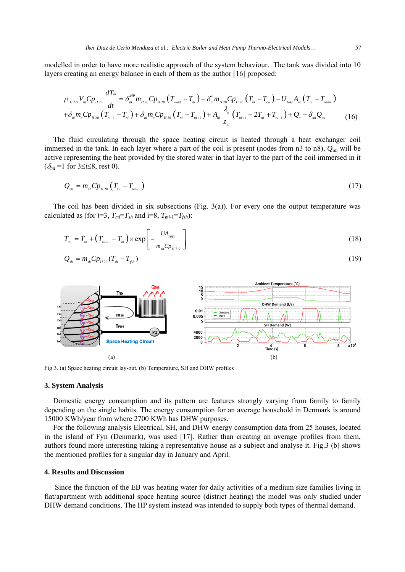modelled in order to have more realistic approach of the system behaviour. The tank was divided into 10 layers creating an energy balance in each of them as the author [16] proposed:

$$
\rho_{_{H2O}}V_{_{ni}}C_{p_{_{H20}}}\frac{dT_{\scriptscriptstyle ni}}{dt} = \delta_{_{ni}}^{_{HP}}m_{_{H20}}C_{p_{_{H20}}}\left(T_{_{wout}}-T_{_{ni}}\right) - \delta_{_{ni}}^{^{c}}m_{_{H20}}C_{p_{_{H20}}}\left(T_{_{ni}}-T_{_{cw}}\right) - U_{_{loss}}A_{_{ni}}\left(T_{_{ni}}-T_{_{room}}\right) + \delta_{_{ni}}^{^{+}}m_{_{c}}C_{p_{_{H20}}}\left(T_{_{ni-1}}-T_{_{ni}}\right) + \delta_{_{ni}}^{-}m_{_{c}}C_{p_{_{H20}}}\left(T_{_{ni}}-T_{_{ni+1}}\right) + A_{_{ni}}\frac{\lambda_{_{e}}}{z_{_{ni}}}\left(T_{_{ni+1}}-2T_{_{ni}}+T_{_{ni-1}}\right) + Q_{_{e}} - \delta_{_{ni}}Q_{_{mi}} \tag{16}
$$

The fluid circulating through the space heating circuit is heated through a heat exchanger coil immersed in the tank. In each layer where a part of the coil is present (nodes from n3 to n8),  $Q_{\text{mi}}$  will be active representing the heat provided by the stored water in that layer to the part of the coil immersed in it  $(\delta_{mi} = 1$  for  $3 \le i \le 8$ , rest 0).

$$
Q_{m} = m_{sh} C p_{H20} \left( T_{m} - T_{m-1} \right) \tag{17}
$$

The coil has been divided in six subsections (Fig.  $3(a)$ ). For every one the output temperature was calculated as (for  $i=3$ ,  $T_{mi}=T_{sh}$  and  $i=8$ ,  $T_{mi-1}=T_{fsh}$ ):

$$
T_{m} = T_{n} + (T_{m-1} - T_{n}) \times \exp\left[-\frac{UA_{\text{max}}}{m_{sh}C p_{H2O}}\right]
$$
 (18)

$$
Q_{_{sh}} = m_{_{sh}} C p_{_{H20}} (T_{_{sh}} - T_{_{fsh}}) \tag{19}
$$



Fig.3. (a) Space heating circuit lay-out, (b) Temperature, SH and DHW profiles

# **3. System Analysis**

Domestic energy consumption and its pattern are features strongly varying from family to family depending on the single habits. The energy consumption for an average household in Denmark is around 15000 KWh/year from where 2700 KWh has DHW purposes.

For the following analysis Electrical, SH, and DHW energy consumption data from 25 houses, located in the island of Fyn (Denmark), was used [17]. Rather than creating an average profiles from them, authors found more interesting taking a representative house as a subject and analyse it. Fig.3 (b) shows the mentioned profiles for a singular day in January and April.

# **4. Results and Discussion**

Since the function of the EB was heating water for daily activities of a medium size families living in flat/apartment with additional space heating source (district heating) the model was only studied under DHW demand conditions. The HP system instead was intended to supply both types of thermal demand.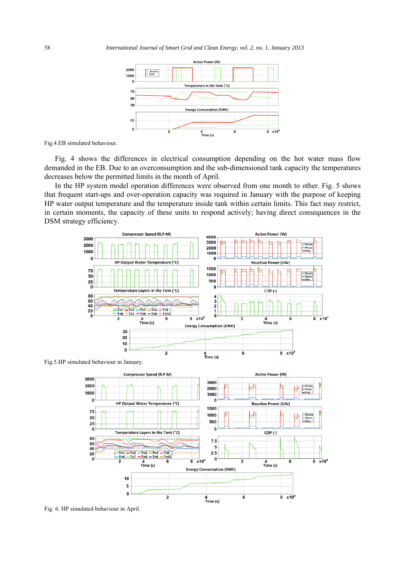

Fig.4.EB simulated behaviour.

Fig. 4 shows the differences in electrical consumption depending on the hot water mass flow demanded in the EB. Due to an overconsumption and the sub-dimensioned tank capacity the temperatures decreases below the permitted limits in the month of April.

In the HP system model operation differences were observed from one month to other. Fig. 5 shows that frequent start-ups and over-operation capacity was required in January with the purpose of keeping HP water output temperature and the temperature inside tank within certain limits. This fact may restrict, in certain moments, the capacity of these units to respond actively; having direct consequences in the DSM strategy efficiency.



Fig.5.HP simulated behaviour in January.



Fig. 6. HP simulated behaviour in April.